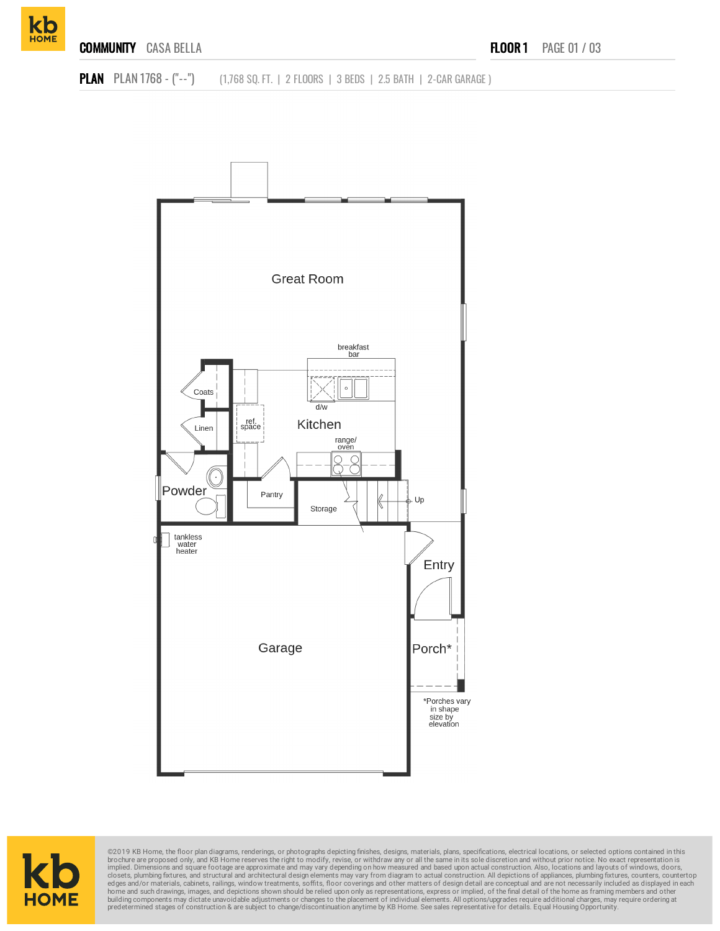







©2019 KB Home, the floor plan diagrams, renderings, or photographs depicting finishes, designs, materials, plans, specifications, electrical locations, or selected options contained in this brookure are proposed only, and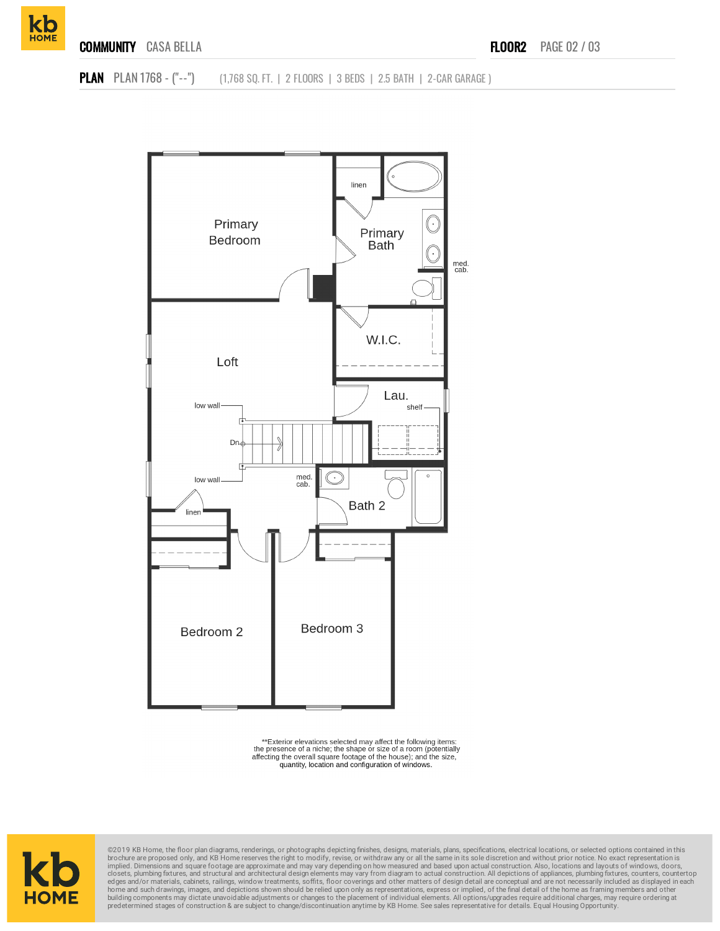**kb** 





<sup>\*\*</sup>Exterior elevations selected may affect the following items:<br>the presence of a niche; the shape or size of a room (potentially<br>affecting the overall square footage of the house); and the size, quantity, location and configuration of windows.



©2019 KB Home, the floor plan diagrams, renderings, or photographs depicting finishes, designs, materials, plans, specifications, electrical locations, or selected options contained in this brochure are proposed only, and KB Home reserves the right to modify, revise, or withdraw any or all the same in its sole discretion and without prior notice. No exact representation is<br>implied. Dimensions and square foota home and such drawings, images, and depictions shown should be relied upon only as representations, express or implied, of the final detail of the home as framing members and other<br>building components may dictate unavoidab